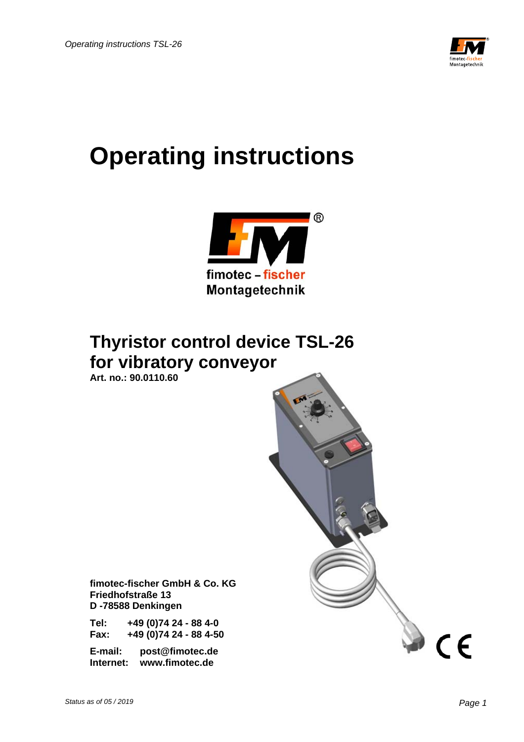

# **Operating instructions**



## **Thyristor control device TSL-26 for vibratory conveyor**

 **Art. no.: 90.0110.60** 



 **fimotec-fischer GmbH & Co. KG Friedhofstraße 13 D -78588 Denkingen** 

 **Tel: +49 (0)74 24 - 88 4-0 Fax: +49 (0)74 24 - 88 4-50** 

 **E-mail: post@fimotec.de Internet: www.fimotec.de**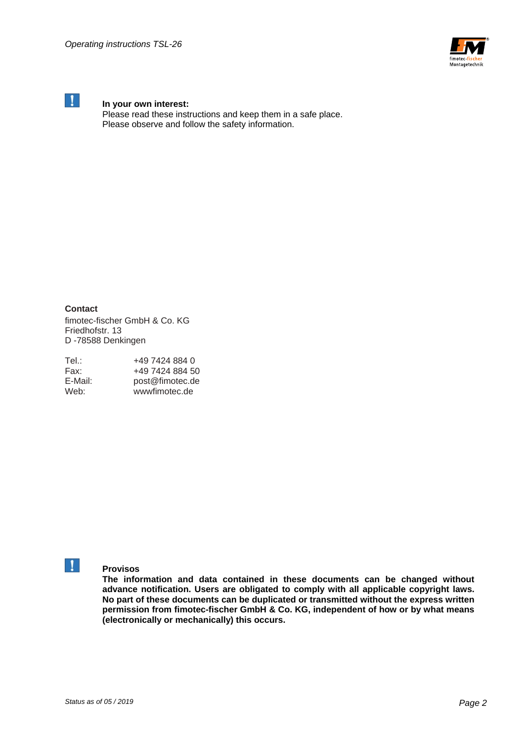



## **In your own interest:**

 Please read these instructions and keep them in a safe place. Please observe and follow the safety information.

**Contact**  fimotec-fischer GmbH & Co. KG Friedhofstr. 13 D -78588 Denkingen

| Tel.∶   | +49 7424 884 0  |
|---------|-----------------|
| Fax:    | +49 7424 884 50 |
| E-Mail: | post@fimotec.de |
| Web:    | wwwfimotec.de   |



## **Provisos**

**The information and data contained in these documents can be changed without advance notification. Users are obligated to comply with all applicable copyright laws. No part of these documents can be duplicated or transmitted without the express written permission from fimotec-fischer GmbH & Co. KG, independent of how or by what means (electronically or mechanically) this occurs.**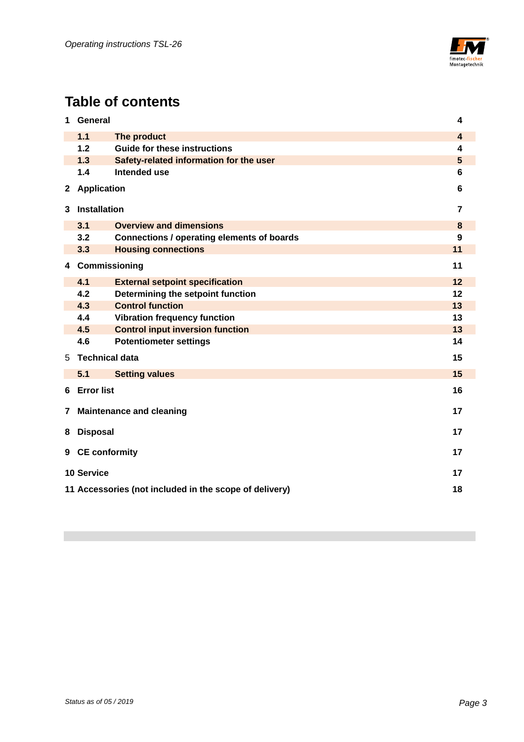

## **Table of contents**

| 1.1<br>The product<br>$\overline{4}$<br>1.2<br><b>Guide for these instructions</b><br>4<br>1.3<br>5<br>Safety-related information for the user<br>1.4<br>Intended use<br>6<br><b>Application</b><br>$\mathbf{2}$<br>6<br><b>Installation</b><br>3<br>$\overline{7}$<br>3.1<br><b>Overview and dimensions</b><br>8<br>3.2<br><b>Connections / operating elements of boards</b><br>$\boldsymbol{9}$<br>11<br>3.3<br><b>Housing connections</b><br>11<br>Commissioning<br>4<br>12<br>4.1<br><b>External setpoint specification</b><br>4.2<br>Determining the setpoint function<br>12<br><b>Control function</b><br>4.3<br>13<br><b>Vibration frequency function</b><br>13<br>4.4<br>13<br>4.5<br><b>Control input inversion function</b><br>4.6<br>14<br><b>Potentiometer settings</b><br><b>Technical data</b><br>15<br>5.<br>15<br>5.1<br><b>Setting values</b><br><b>Error list</b><br>16<br>6<br>17<br><b>Maintenance and cleaning</b><br>7<br><b>Disposal</b><br>17<br>8<br><b>CE conformity</b><br>17<br>9<br><b>10 Service</b><br>17<br>18<br>11 Accessories (not included in the scope of delivery) | 1 | General<br>4 |  |  |
|----------------------------------------------------------------------------------------------------------------------------------------------------------------------------------------------------------------------------------------------------------------------------------------------------------------------------------------------------------------------------------------------------------------------------------------------------------------------------------------------------------------------------------------------------------------------------------------------------------------------------------------------------------------------------------------------------------------------------------------------------------------------------------------------------------------------------------------------------------------------------------------------------------------------------------------------------------------------------------------------------------------------------------------------------------------------------------------------------------|---|--------------|--|--|
|                                                                                                                                                                                                                                                                                                                                                                                                                                                                                                                                                                                                                                                                                                                                                                                                                                                                                                                                                                                                                                                                                                          |   |              |  |  |
|                                                                                                                                                                                                                                                                                                                                                                                                                                                                                                                                                                                                                                                                                                                                                                                                                                                                                                                                                                                                                                                                                                          |   |              |  |  |
|                                                                                                                                                                                                                                                                                                                                                                                                                                                                                                                                                                                                                                                                                                                                                                                                                                                                                                                                                                                                                                                                                                          |   |              |  |  |
|                                                                                                                                                                                                                                                                                                                                                                                                                                                                                                                                                                                                                                                                                                                                                                                                                                                                                                                                                                                                                                                                                                          |   |              |  |  |
|                                                                                                                                                                                                                                                                                                                                                                                                                                                                                                                                                                                                                                                                                                                                                                                                                                                                                                                                                                                                                                                                                                          |   |              |  |  |
|                                                                                                                                                                                                                                                                                                                                                                                                                                                                                                                                                                                                                                                                                                                                                                                                                                                                                                                                                                                                                                                                                                          |   |              |  |  |
|                                                                                                                                                                                                                                                                                                                                                                                                                                                                                                                                                                                                                                                                                                                                                                                                                                                                                                                                                                                                                                                                                                          |   |              |  |  |
|                                                                                                                                                                                                                                                                                                                                                                                                                                                                                                                                                                                                                                                                                                                                                                                                                                                                                                                                                                                                                                                                                                          |   |              |  |  |
|                                                                                                                                                                                                                                                                                                                                                                                                                                                                                                                                                                                                                                                                                                                                                                                                                                                                                                                                                                                                                                                                                                          |   |              |  |  |
|                                                                                                                                                                                                                                                                                                                                                                                                                                                                                                                                                                                                                                                                                                                                                                                                                                                                                                                                                                                                                                                                                                          |   |              |  |  |
|                                                                                                                                                                                                                                                                                                                                                                                                                                                                                                                                                                                                                                                                                                                                                                                                                                                                                                                                                                                                                                                                                                          |   |              |  |  |
|                                                                                                                                                                                                                                                                                                                                                                                                                                                                                                                                                                                                                                                                                                                                                                                                                                                                                                                                                                                                                                                                                                          |   |              |  |  |
|                                                                                                                                                                                                                                                                                                                                                                                                                                                                                                                                                                                                                                                                                                                                                                                                                                                                                                                                                                                                                                                                                                          |   |              |  |  |
|                                                                                                                                                                                                                                                                                                                                                                                                                                                                                                                                                                                                                                                                                                                                                                                                                                                                                                                                                                                                                                                                                                          |   |              |  |  |
|                                                                                                                                                                                                                                                                                                                                                                                                                                                                                                                                                                                                                                                                                                                                                                                                                                                                                                                                                                                                                                                                                                          |   |              |  |  |
|                                                                                                                                                                                                                                                                                                                                                                                                                                                                                                                                                                                                                                                                                                                                                                                                                                                                                                                                                                                                                                                                                                          |   |              |  |  |
|                                                                                                                                                                                                                                                                                                                                                                                                                                                                                                                                                                                                                                                                                                                                                                                                                                                                                                                                                                                                                                                                                                          |   |              |  |  |
|                                                                                                                                                                                                                                                                                                                                                                                                                                                                                                                                                                                                                                                                                                                                                                                                                                                                                                                                                                                                                                                                                                          |   |              |  |  |
|                                                                                                                                                                                                                                                                                                                                                                                                                                                                                                                                                                                                                                                                                                                                                                                                                                                                                                                                                                                                                                                                                                          |   |              |  |  |
|                                                                                                                                                                                                                                                                                                                                                                                                                                                                                                                                                                                                                                                                                                                                                                                                                                                                                                                                                                                                                                                                                                          |   |              |  |  |
|                                                                                                                                                                                                                                                                                                                                                                                                                                                                                                                                                                                                                                                                                                                                                                                                                                                                                                                                                                                                                                                                                                          |   |              |  |  |
|                                                                                                                                                                                                                                                                                                                                                                                                                                                                                                                                                                                                                                                                                                                                                                                                                                                                                                                                                                                                                                                                                                          |   |              |  |  |
|                                                                                                                                                                                                                                                                                                                                                                                                                                                                                                                                                                                                                                                                                                                                                                                                                                                                                                                                                                                                                                                                                                          |   |              |  |  |
|                                                                                                                                                                                                                                                                                                                                                                                                                                                                                                                                                                                                                                                                                                                                                                                                                                                                                                                                                                                                                                                                                                          |   |              |  |  |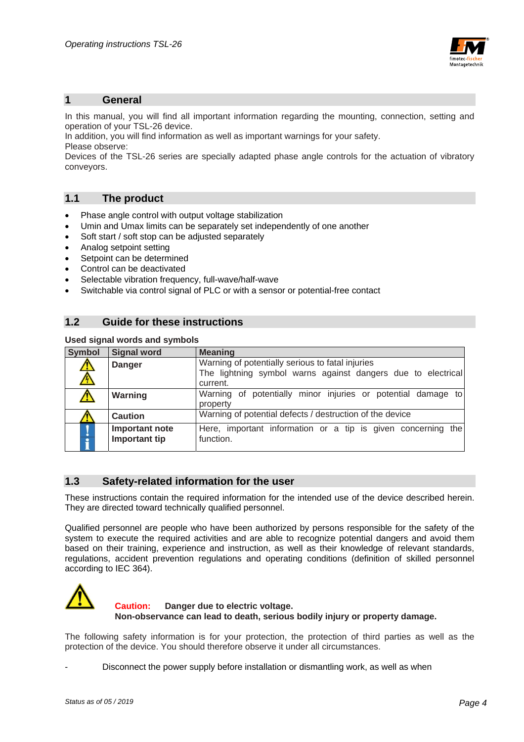

#### **1 General**

In this manual, you will find all important information regarding the mounting, connection, setting and operation of your TSL-26 device.

In addition, you will find information as well as important warnings for your safety. Please observe:

Devices of the TSL-26 series are specially adapted phase angle controls for the actuation of vibratory conveyors.

#### **1.1 The product**

- Phase angle control with output voltage stabilization
- Umin and Umax limits can be separately set independently of one another
- Soft start / soft stop can be adjusted separately
- Analog setpoint setting
- Setpoint can be determined
- Control can be deactivated
- Selectable vibration frequency, full-wave/half-wave
- Switchable via control signal of PLC or with a sensor or potential-free contact

#### **1.2 Guide for these instructions**

#### **Used signal words and symbols**

| <b>Symbol</b>        | <b>Signal word</b>              | <b>Meaning</b>                                                                                                               |  |
|----------------------|---------------------------------|------------------------------------------------------------------------------------------------------------------------------|--|
| $\frac{1}{\sqrt{2}}$ | <b>Danger</b>                   | Warning of potentially serious to fatal injuries<br>The lightning symbol warns against dangers due to electrical<br>current. |  |
|                      | Warning                         | Warning of potentially minor injuries or potential damage to<br>property                                                     |  |
|                      | Caution                         | Warning of potential defects / destruction of the device                                                                     |  |
| ò<br>å               | Important note<br>Important tip | Here, important information or a tip is given concerning<br>the<br>function.                                                 |  |

#### **1.3 Safety-related information for the user**

These instructions contain the required information for the intended use of the device described herein. They are directed toward technically qualified personnel.

Qualified personnel are people who have been authorized by persons responsible for the safety of the system to execute the required activities and are able to recognize potential dangers and avoid them based on their training, experience and instruction, as well as their knowledge of relevant standards, regulations, accident prevention regulations and operating conditions (definition of skilled personnel according to IEC 364).



#### **Caution: Danger due to electric voltage. Non-observance can lead to death, serious bodily injury or property damage.**

The following safety information is for your protection, the protection of third parties as well as the protection of the device. You should therefore observe it under all circumstances.

Disconnect the power supply before installation or dismantling work, as well as when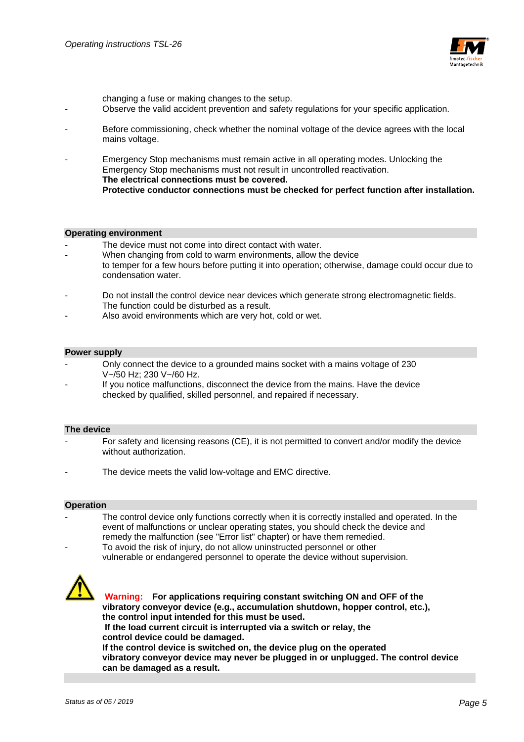

changing a fuse or making changes to the setup.

- Observe the valid accident prevention and safety regulations for your specific application.
- Before commissioning, check whether the nominal voltage of the device agrees with the local mains voltage.
- Emergency Stop mechanisms must remain active in all operating modes. Unlocking the Emergency Stop mechanisms must not result in uncontrolled reactivation.  **The electrical connections must be covered. Protective conductor connections must be checked for perfect function after installation.**

#### **Operating environment**

- The device must not come into direct contact with water.
- When changing from cold to warm environments, allow the device to temper for a few hours before putting it into operation; otherwise, damage could occur due to condensation water.
- Do not install the control device near devices which generate strong electromagnetic fields. The function could be disturbed as a result.
- Also avoid environments which are very hot, cold or wet.

#### **Power supply**

- Only connect the device to a grounded mains socket with a mains voltage of 230 V~/50 Hz; 230 V~/60 Hz.
- If you notice malfunctions, disconnect the device from the mains. Have the device checked by qualified, skilled personnel, and repaired if necessary.

#### **The device**

- For safety and licensing reasons (CE), it is not permitted to convert and/or modify the device without authorization.
- The device meets the valid low-voltage and EMC directive.

#### **Operation**

- The control device only functions correctly when it is correctly installed and operated. In the event of malfunctions or unclear operating states, you should check the device and remedy the malfunction (see "Error list" chapter) or have them remedied.
- To avoid the risk of injury, do not allow uninstructed personnel or other vulnerable or endangered personnel to operate the device without supervision.



 **Warning: For applications requiring constant switching ON and OFF of the vibratory conveyor device (e.g., accumulation shutdown, hopper control, etc.), the control input intended for this must be used. If the load current circuit is interrupted via a switch or relay, the control device could be damaged. If the control device is switched on, the device plug on the operated vibratory conveyor device may never be plugged in or unplugged. The control device can be damaged as a result.**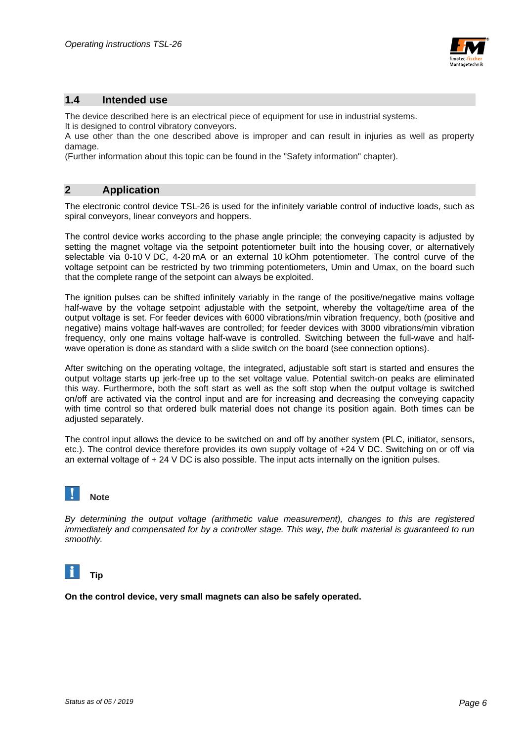

#### **1.4 Intended use**

The device described here is an electrical piece of equipment for use in industrial systems.

It is designed to control vibratory conveyors.

A use other than the one described above is improper and can result in injuries as well as property damage.

(Further information about this topic can be found in the "Safety information" chapter).

### **2 Application**

The electronic control device TSL-26 is used for the infinitely variable control of inductive loads, such as spiral conveyors, linear conveyors and hoppers.

The control device works according to the phase angle principle; the conveying capacity is adjusted by setting the magnet voltage via the setpoint potentiometer built into the housing cover, or alternatively selectable via 0-10 V DC, 4-20 mA or an external 10 kOhm potentiometer. The control curve of the voltage setpoint can be restricted by two trimming potentiometers, Umin and Umax, on the board such that the complete range of the setpoint can always be exploited.

The ignition pulses can be shifted infinitely variably in the range of the positive/negative mains voltage half-wave by the voltage setpoint adjustable with the setpoint, whereby the voltage/time area of the output voltage is set. For feeder devices with 6000 vibrations/min vibration frequency, both (positive and negative) mains voltage half-waves are controlled; for feeder devices with 3000 vibrations/min vibration frequency, only one mains voltage half-wave is controlled. Switching between the full-wave and halfwave operation is done as standard with a slide switch on the board (see connection options).

After switching on the operating voltage, the integrated, adjustable soft start is started and ensures the output voltage starts up jerk-free up to the set voltage value. Potential switch-on peaks are eliminated this way. Furthermore, both the soft start as well as the soft stop when the output voltage is switched on/off are activated via the control input and are for increasing and decreasing the conveying capacity with time control so that ordered bulk material does not change its position again. Both times can be adjusted separately.

The control input allows the device to be switched on and off by another system (PLC, initiator, sensors, etc.). The control device therefore provides its own supply voltage of +24 V DC. Switching on or off via an external voltage of + 24 V DC is also possible. The input acts internally on the ignition pulses.



*By determining the output voltage (arithmetic value measurement), changes to this are registered immediately and compensated for by a controller stage. This way, the bulk material is guaranteed to run smoothly.* 



**On the control device, very small magnets can also be safely operated.**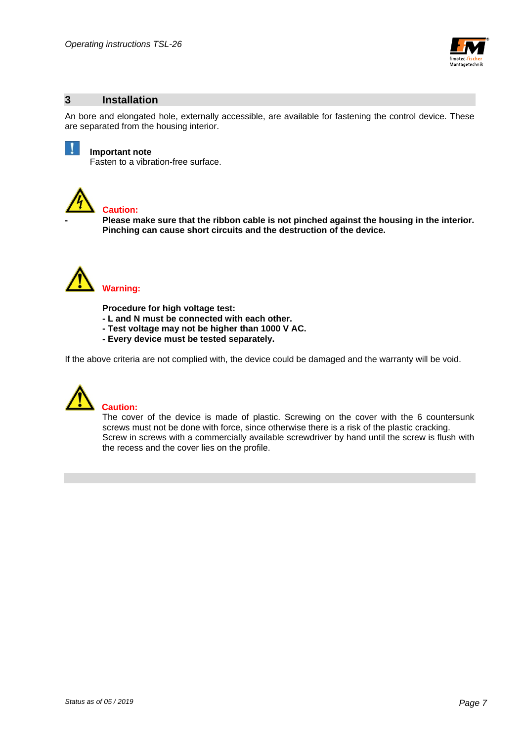

#### **3 Installation**

An bore and elongated hole, externally accessible, are available for fastening the control device. These are separated from the housing interior.



#### **Important note**

Fasten to a vibration-free surface.



#### **Caution:**

**- Please make sure that the ribbon cable is not pinched against the housing in the interior. Pinching can cause short circuits and the destruction of the device.** 



**Procedure for high voltage test:** 

- **L and N must be connected with each other.**
- **Test voltage may not be higher than 1000 V AC.**
- **Every device must be tested separately.**

If the above criteria are not complied with, the device could be damaged and the warranty will be void.



#### **Caution:**

The cover of the device is made of plastic. Screwing on the cover with the 6 countersunk screws must not be done with force, since otherwise there is a risk of the plastic cracking. Screw in screws with a commercially available screwdriver by hand until the screw is flush with the recess and the cover lies on the profile.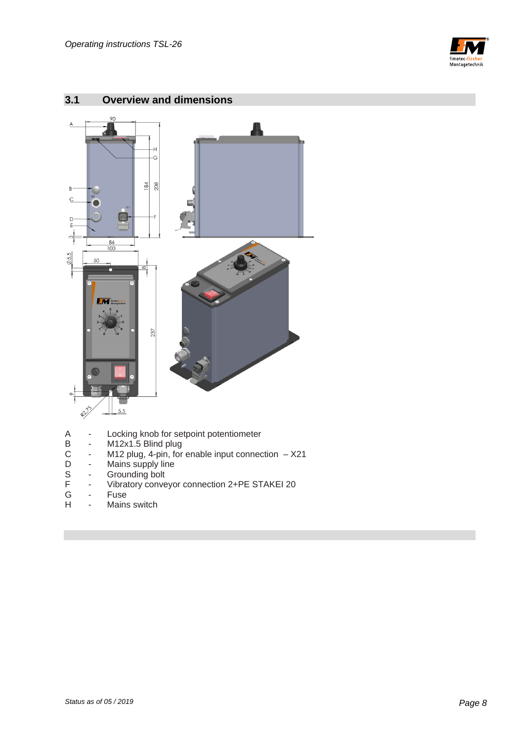



## **3.1 Overview and dimensions**

- A Locking knob for setpoint potentiometer<br>B M12x1.5 Blind plug<br>C M12 plug, 4-pin, for enable input connec<br>D Mains supply line
- M12x1.5 Blind plug
- M12 plug, 4-pin, for enable input connection  $X21$
- D Mains supply line<br>S Grounding bolt<br>F Vibratory conveyo
- Grounding bolt
- F Vibratory conveyor connection 2+PE STAKEI 20<br>G Fuse
- Fuse
- H Mains switch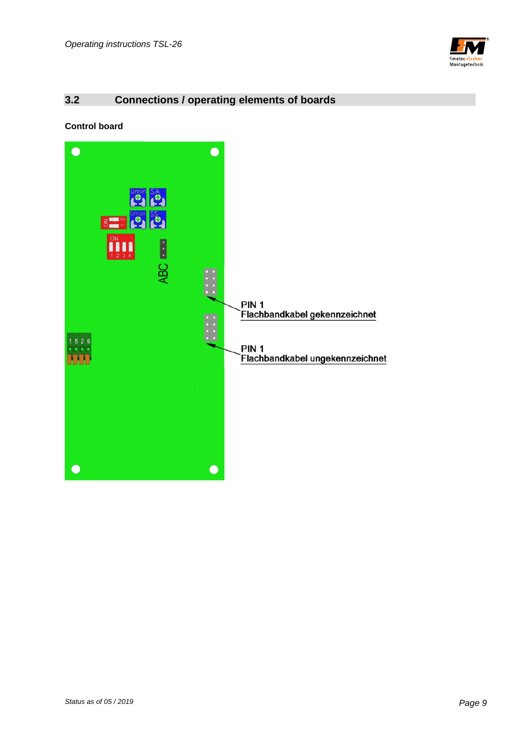

## **3.2 Connections / operating elements of boards**

**Control board** 

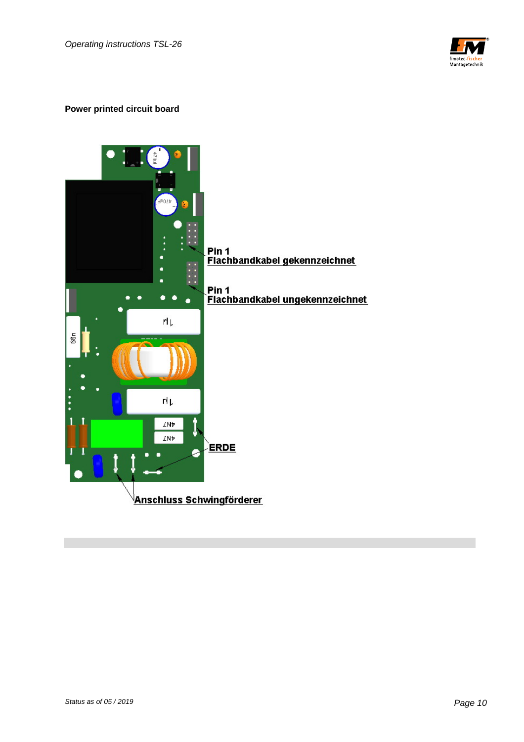

#### **Power printed circuit board**

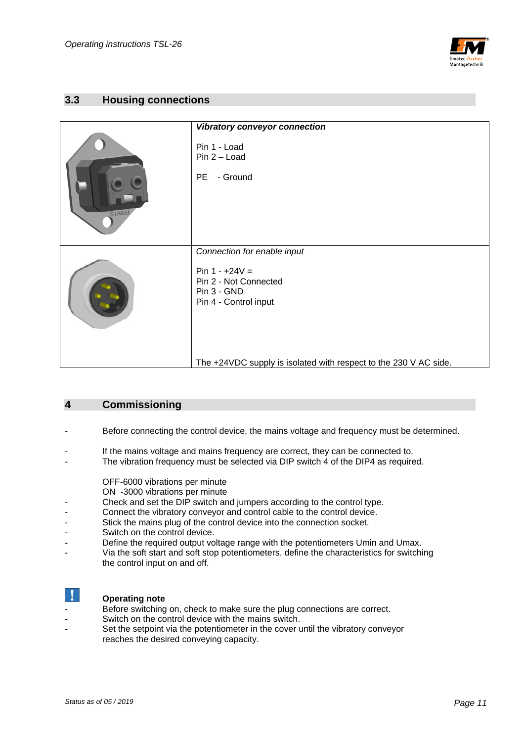

#### **3.3 Housing connections**

|        | Vibratory conveyor connection                                                                                                                                                        |
|--------|--------------------------------------------------------------------------------------------------------------------------------------------------------------------------------------|
| STAKEI | Pin 1 - Load<br>$Pin 2 - Load$<br><b>PE</b><br>- Ground                                                                                                                              |
|        | Connection for enable input<br>Pin $1 - +24V =$<br>Pin 2 - Not Connected<br>Pin 3 - GND<br>Pin 4 - Control input<br>The +24VDC supply is isolated with respect to the 230 V AC side. |

#### **4 Commissioning**

- Before connecting the control device, the mains voltage and frequency must be determined.
- If the mains voltage and mains frequency are correct, they can be connected to.
- The vibration frequency must be selected via DIP switch  $\overline{4}$  of the DIP4 as required.
	- OFF-6000 vibrations per minute
	- ON -3000 vibrations per minute
- Check and set the DIP switch and jumpers according to the control type.
- Connect the vibratory conveyor and control cable to the control device.
- Stick the mains plug of the control device into the connection socket.
- Switch on the control device.
- Define the required output voltage range with the potentiometers Umin and Umax.
- Via the soft start and soft stop potentiometers, define the characteristics for switching the control input on and off.



#### **Operating note**

- Before switching on, check to make sure the plug connections are correct.
- Switch on the control device with the mains switch.
- Set the setpoint via the potentiometer in the cover until the vibratory conveyor reaches the desired conveying capacity.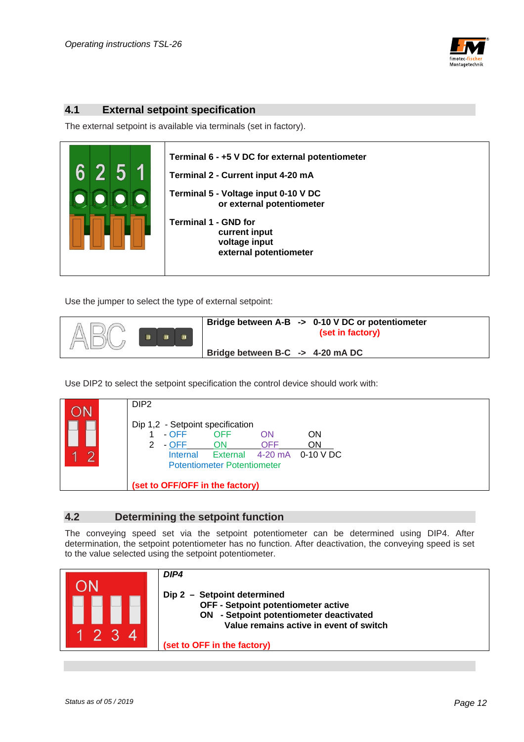

#### **4.1 External setpoint specification**

The external setpoint is available via terminals (set in factory).



Use the jumper to select the type of external setpoint:



Use DIP2 to select the setpoint specification the control device should work with:



#### **4.2 Determining the setpoint function**

The conveying speed set via the setpoint potentiometer can be determined using DIP4. After determination, the setpoint potentiometer has no function. After deactivation, the conveying speed is set to the value selected using the setpoint potentiometer.

|                  | DIP4<br>Dip 2 - Setpoint determined<br>OFF - Setpoint potentiometer active<br>ON - Setpoint potentiometer deactivated<br>Value remains active in event of switch |
|------------------|------------------------------------------------------------------------------------------------------------------------------------------------------------------|
| $\boldsymbol{4}$ | (set to OFF in the factory)                                                                                                                                      |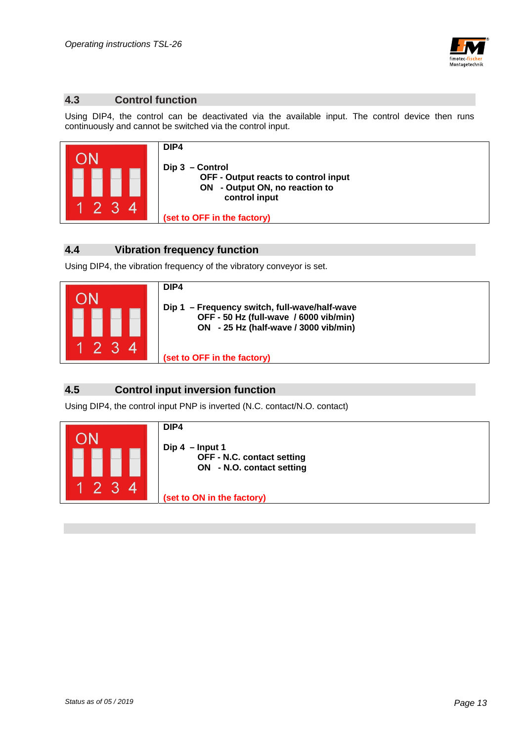

#### **4.3 Control function**

Using DIP4, the control can be deactivated via the available input. The control device then runs continuously and cannot be switched via the control input.



#### **4.4 Vibration frequency function**

Using DIP4, the vibration frequency of the vibratory conveyor is set.



#### **4.5 Control input inversion function**

Using DIP4, the control input PNP is inverted (N.C. contact/N.O. contact)

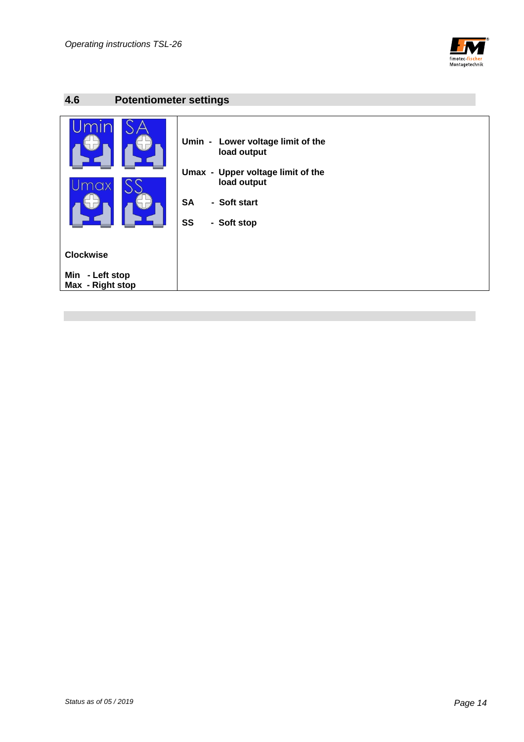

## **4.6 Potentiometer settings**

| Umin - Lower voltage limit of the<br>load output<br>Umax - Upper voltage limit of the |  |
|---------------------------------------------------------------------------------------|--|
| load output                                                                           |  |
|                                                                                       |  |
| <b>SA</b><br>- Soft start                                                             |  |
|                                                                                       |  |
| SS<br>- Soft stop                                                                     |  |
|                                                                                       |  |
|                                                                                       |  |
| <b>Clockwise</b>                                                                      |  |
|                                                                                       |  |
| Min<br>- Left stop                                                                    |  |
| Max - Right stop                                                                      |  |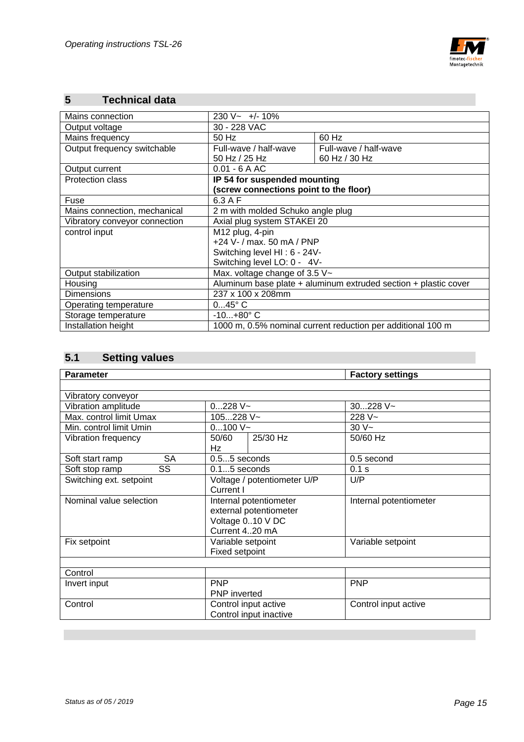

## **5 Technical data**

| Mains connection              | $230 V - +/- 10\%$                                              |                       |
|-------------------------------|-----------------------------------------------------------------|-----------------------|
| Output voltage                | 30 - 228 VAC                                                    |                       |
| Mains frequency               | 50 Hz                                                           | 60 Hz                 |
| Output frequency switchable   | Full-wave / half-wave                                           | Full-wave / half-wave |
|                               | 50 Hz / 25 Hz                                                   | 60 Hz / 30 Hz         |
| Output current                | $0.01 - 6AAC$                                                   |                       |
| <b>Protection class</b>       | IP 54 for suspended mounting                                    |                       |
|                               | (screw connections point to the floor)                          |                       |
| Fuse                          | $6.3A$ F                                                        |                       |
| Mains connection, mechanical  | 2 m with molded Schuko angle plug                               |                       |
| Vibratory conveyor connection | Axial plug system STAKEI 20                                     |                       |
| control input                 | M12 plug, 4-pin                                                 |                       |
|                               | +24 V- / max. 50 mA / PNP                                       |                       |
|                               | Switching level HI: 6 - 24V-                                    |                       |
|                               | Switching level LO: 0 - 4V-                                     |                       |
| Output stabilization          | Max. voltage change of 3.5 $V \sim$                             |                       |
| Housing                       | Aluminum base plate + aluminum extruded section + plastic cover |                       |
| <b>Dimensions</b>             | 237 x 100 x 208mm                                               |                       |
| Operating temperature         | $045^{\circ}$ C                                                 |                       |
| Storage temperature           | $-10+80^{\circ}$ C                                              |                       |
| Installation height           | 1000 m, 0.5% nominal current reduction per additional 100 m     |                       |

## **5.1 Setting values**

| <b>Parameter</b>             |                                                                                        | <b>Factory settings</b> |
|------------------------------|----------------------------------------------------------------------------------------|-------------------------|
|                              |                                                                                        |                         |
| Vibratory conveyor           |                                                                                        |                         |
| Vibration amplitude          | $0228$ V $\sim$                                                                        | $30228$ V ~             |
| Max. control limit Umax      | 105228 V~                                                                              | $228 V -$               |
| Min. control limit Umin      | $0100V -$                                                                              | $30V -$                 |
| Vibration frequency          | 25/30 Hz<br>50/60<br>Hz                                                                | 50/60 Hz                |
| <b>SA</b><br>Soft start ramp | $0.55$ seconds                                                                         | 0.5 second              |
| SS<br>Soft stop ramp         | $0.15$ seconds                                                                         | 0.1 s                   |
| Switching ext. setpoint      | Voltage / potentiometer U/P<br>Current I                                               | U/P                     |
| Nominal value selection      | Internal potentiometer<br>external potentiometer<br>Voltage 010 V DC<br>Current 420 mA | Internal potentiometer  |
| Fix setpoint                 | Variable setpoint<br>Fixed setpoint                                                    | Variable setpoint       |
|                              |                                                                                        |                         |
| Control                      |                                                                                        |                         |
| Invert input                 | <b>PNP</b><br><b>PNP</b> inverted                                                      | <b>PNP</b>              |
| Control                      | Control input active<br>Control input inactive                                         | Control input active    |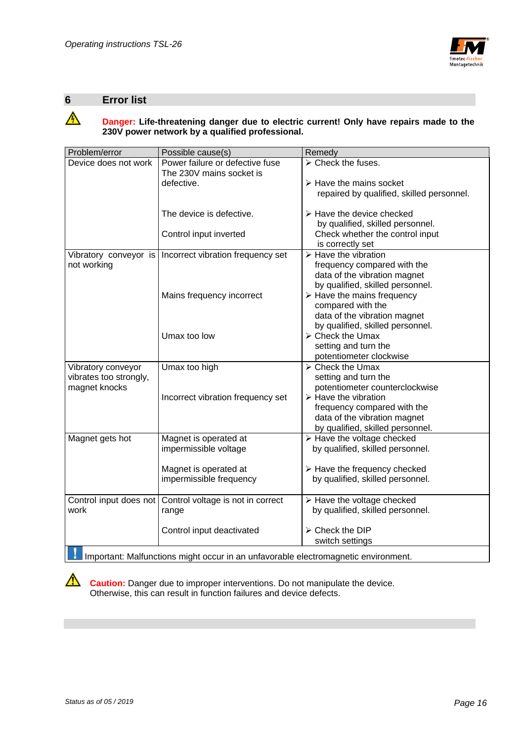

#### **6 Error list**

## **A** Danger: Life-threatening danger due to electric current! Only have repairs made to the  **230V power network by a qualified professional.**

| Problem/error          | Possible cause(s)                                                                  | Remedy                                                           |
|------------------------|------------------------------------------------------------------------------------|------------------------------------------------------------------|
| Device does not work   | Power failure or defective fuse<br>The 230V mains socket is                        | $\triangleright$ Check the fuses.                                |
|                        | defective.                                                                         | $\triangleright$ Have the mains socket                           |
|                        |                                                                                    | repaired by qualified, skilled personnel.                        |
|                        | The device is defective.                                                           | $\triangleright$ Have the device checked                         |
|                        |                                                                                    | by qualified, skilled personnel.                                 |
|                        | Control input inverted                                                             | Check whether the control input<br>is correctly set              |
| Vibratory conveyor is  | Incorrect vibration frequency set                                                  | $\triangleright$ Have the vibration                              |
| not working            |                                                                                    | frequency compared with the                                      |
|                        |                                                                                    | data of the vibration magnet<br>by qualified, skilled personnel. |
|                        | Mains frequency incorrect                                                          | $\triangleright$ Have the mains frequency                        |
|                        |                                                                                    | compared with the                                                |
|                        |                                                                                    | data of the vibration magnet                                     |
|                        |                                                                                    | by qualified, skilled personnel.                                 |
|                        | Umax too low                                                                       | $\triangleright$ Check the Umax                                  |
|                        |                                                                                    | setting and turn the                                             |
|                        |                                                                                    | potentiometer clockwise                                          |
| Vibratory conveyor     | Umax too high                                                                      | $\triangleright$ Check the Umax                                  |
| vibrates too strongly, |                                                                                    | setting and turn the                                             |
| magnet knocks          |                                                                                    | potentiometer counterclockwise                                   |
|                        | Incorrect vibration frequency set                                                  | $\triangleright$ Have the vibration                              |
|                        |                                                                                    | frequency compared with the<br>data of the vibration magnet      |
|                        |                                                                                    | by qualified, skilled personnel.                                 |
| Magnet gets hot        | Magnet is operated at                                                              | $\triangleright$ Have the voltage checked                        |
|                        | impermissible voltage                                                              | by qualified, skilled personnel.                                 |
|                        |                                                                                    |                                                                  |
|                        | Magnet is operated at                                                              | $\triangleright$ Have the frequency checked                      |
|                        | impermissible frequency                                                            | by qualified, skilled personnel.                                 |
|                        |                                                                                    |                                                                  |
| Control input does not | Control voltage is not in correct                                                  | $\triangleright$ Have the voltage checked                        |
| work                   | range                                                                              | by qualified, skilled personnel.                                 |
|                        | Control input deactivated                                                          | > Check the DIP                                                  |
|                        |                                                                                    | switch settings                                                  |
|                        | Important: Malfunctions might occur in an unfavorable electromagnetic environment. |                                                                  |

**Caution:** Danger due to improper interventions. Do not manipulate the device. Otherwise, this can result in function failures and device defects.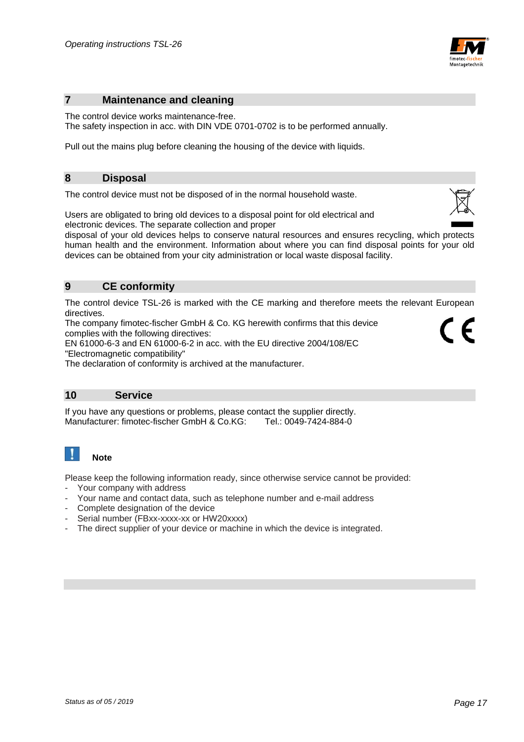

#### **7 Maintenance and cleaning**

The control device works maintenance-free.

The safety inspection in acc. with DIN VDE 0701-0702 is to be performed annually.

Pull out the mains plug before cleaning the housing of the device with liquids.

#### **8 Disposal**

The control device must not be disposed of in the normal household waste.

Users are obligated to bring old devices to a disposal point for old electrical and electronic devices. The separate collection and proper

disposal of your old devices helps to conserve natural resources and ensures recycling, which protects human health and the environment. Information about where you can find disposal points for your old devices can be obtained from your city administration or local waste disposal facility.

#### **9 CE conformity**

The control device TSL-26 is marked with the CE marking and therefore meets the relevant European directives.

The company fimotec-fischer GmbH & Co. KG herewith confirms that this device complies with the following directives:

EN 61000-6-3 and EN 61000-6-2 in acc. with the EU directive 2004/108/EC "Electromagnetic compatibility"

The declaration of conformity is archived at the manufacturer.

#### **10 Service**

If you have any questions or problems, please contact the supplier directly. Manufacturer: fimotec-fischer GmbH & Co.KG: Tel.: 0049-7424-884-0

#### $\mathbf{I}$  **Note**

Please keep the following information ready, since otherwise service cannot be provided:

- Your company with address
- Your name and contact data, such as telephone number and e-mail address
- Complete designation of the device
- Serial number (FBxx-xxxx-xx or HW20xxxx)
- The direct supplier of your device or machine in which the device is integrated.